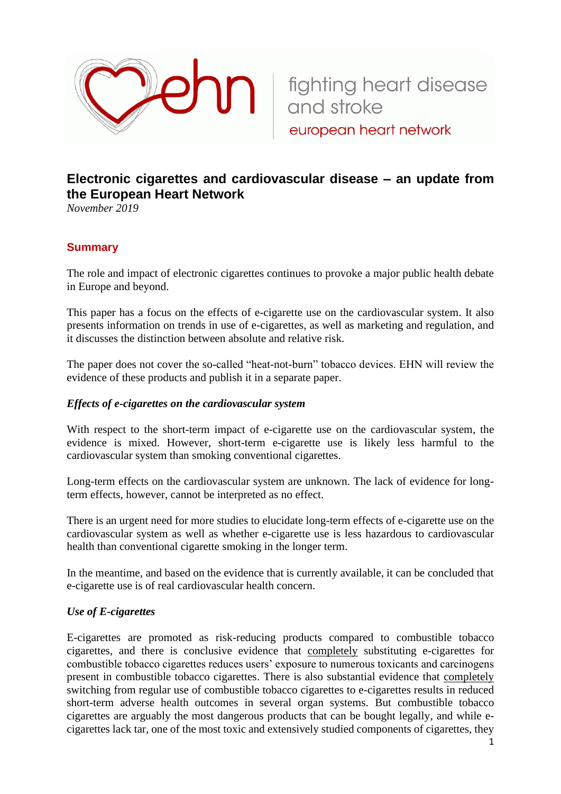

# **Electronic cigarettes and cardiovascular disease – an update from the European Heart Network**

european heart network

*November 2019*

# **Summary**

The role and impact of electronic cigarettes continues to provoke a major public health debate in Europe and beyond.

This paper has a focus on the effects of e-cigarette use on the cardiovascular system. It also presents information on trends in use of e-cigarettes, as well as marketing and regulation, and it discusses the distinction between absolute and relative risk.

The paper does not cover the so-called "heat-not-burn" tobacco devices. EHN will review the evidence of these products and publish it in a separate paper.

### *Effects of e-cigarettes on the cardiovascular system*

With respect to the short-term impact of e-cigarette use on the cardiovascular system, the evidence is mixed. However, short-term e-cigarette use is likely less harmful to the cardiovascular system than smoking conventional cigarettes.

Long-term effects on the cardiovascular system are unknown. The lack of evidence for longterm effects, however, cannot be interpreted as no effect.

There is an urgent need for more studies to elucidate long-term effects of e-cigarette use on the cardiovascular system as well as whether e-cigarette use is less hazardous to cardiovascular health than conventional cigarette smoking in the longer term.

In the meantime, and based on the evidence that is currently available, it can be concluded that e-cigarette use is of real cardiovascular health concern.

### *Use of E-cigarettes*

E-cigarettes are promoted as risk-reducing products compared to combustible tobacco cigarettes, and there is conclusive evidence that completely substituting e-cigarettes for combustible tobacco cigarettes reduces users' exposure to numerous toxicants and carcinogens present in combustible tobacco cigarettes. There is also substantial evidence that completely switching from regular use of combustible tobacco cigarettes to e-cigarettes results in reduced short-term adverse health outcomes in several organ systems. But combustible tobacco cigarettes are arguably the most dangerous products that can be bought legally, and while ecigarettes lack tar, one of the most toxic and extensively studied components of cigarettes, they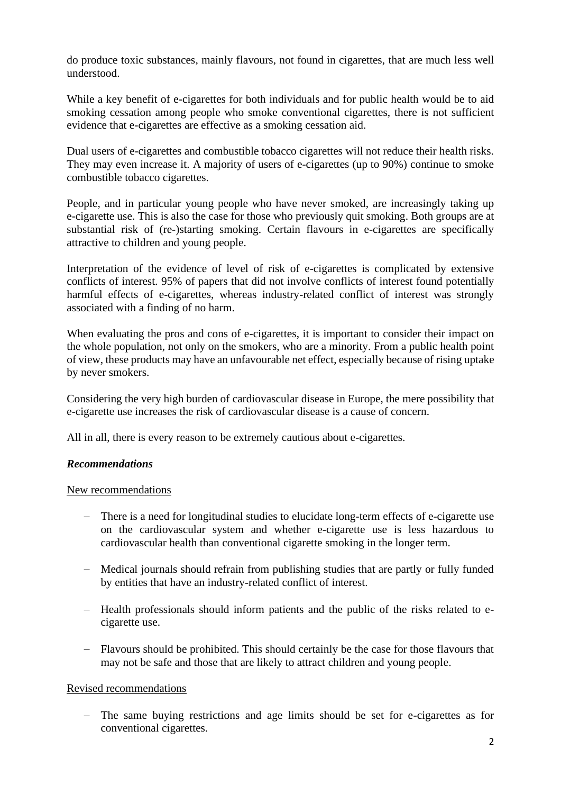do produce toxic substances, mainly flavours, not found in cigarettes, that are much less well understood.

While a key benefit of e-cigarettes for both individuals and for public health would be to aid smoking cessation among people who smoke conventional cigarettes, there is not sufficient evidence that e-cigarettes are effective as a smoking cessation aid.

Dual users of e-cigarettes and combustible tobacco cigarettes will not reduce their health risks. They may even increase it. A majority of users of e-cigarettes (up to 90%) continue to smoke combustible tobacco cigarettes.

People, and in particular young people who have never smoked, are increasingly taking up e-cigarette use. This is also the case for those who previously quit smoking. Both groups are at substantial risk of (re-)starting smoking. Certain flavours in e-cigarettes are specifically attractive to children and young people.

Interpretation of the evidence of level of risk of e-cigarettes is complicated by extensive conflicts of interest. 95% of papers that did not involve conflicts of interest found potentially harmful effects of e-cigarettes, whereas industry-related conflict of interest was strongly associated with a finding of no harm.

When evaluating the pros and cons of e-cigarettes, it is important to consider their impact on the whole population, not only on the smokers, who are a minority. From a public health point of view, these products may have an unfavourable net effect, especially because of rising uptake by never smokers.

Considering the very high burden of cardiovascular disease in Europe, the mere possibility that e-cigarette use increases the risk of cardiovascular disease is a cause of concern.

All in all, there is every reason to be extremely cautious about e-cigarettes.

# *Recommendations*

### New recommendations

- − There is a need for longitudinal studies to elucidate long-term effects of e-cigarette use on the cardiovascular system and whether e-cigarette use is less hazardous to cardiovascular health than conventional cigarette smoking in the longer term.
- − Medical journals should refrain from publishing studies that are partly or fully funded by entities that have an industry-related conflict of interest.
- − Health professionals should inform patients and the public of the risks related to ecigarette use.
- − Flavours should be prohibited. This should certainly be the case for those flavours that may not be safe and those that are likely to attract children and young people.

# Revised recommendations

− The same buying restrictions and age limits should be set for e-cigarettes as for conventional cigarettes.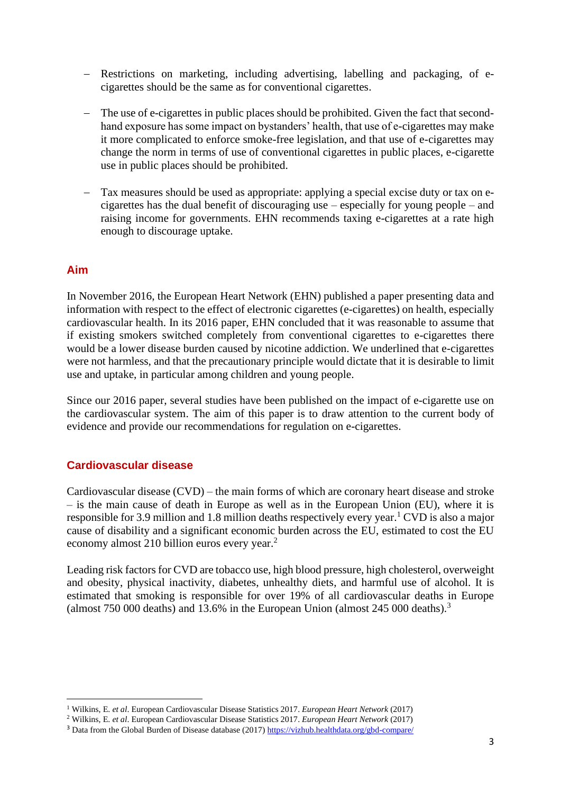- − Restrictions on marketing, including advertising, labelling and packaging, of ecigarettes should be the same as for conventional cigarettes.
- − The use of e-cigarettes in public places should be prohibited. Given the fact that secondhand exposure has some impact on bystanders' health, that use of e-cigarettes may make it more complicated to enforce smoke-free legislation, and that use of e-cigarettes may change the norm in terms of use of conventional cigarettes in public places, e-cigarette use in public places should be prohibited.
- − Tax measures should be used as appropriate: applying a special excise duty or tax on ecigarettes has the dual benefit of discouraging use – especially for young people – and raising income for governments. EHN recommends taxing e-cigarettes at a rate high enough to discourage uptake.

# **Aim**

In November 2016, the European Heart Network (EHN) published a paper presenting data and information with respect to the effect of electronic cigarettes (e-cigarettes) on health, especially cardiovascular health. In its 2016 paper, EHN concluded that it was reasonable to assume that if existing smokers switched completely from conventional cigarettes to e-cigarettes there would be a lower disease burden caused by nicotine addiction. We underlined that e-cigarettes were not harmless, and that the precautionary principle would dictate that it is desirable to limit use and uptake, in particular among children and young people.

Since our 2016 paper, several studies have been published on the impact of e-cigarette use on the cardiovascular system. The aim of this paper is to draw attention to the current body of evidence and provide our recommendations for regulation on e-cigarettes.

# **Cardiovascular disease**

Cardiovascular disease (CVD) – the main forms of which are coronary heart disease and stroke – is the main cause of death in Europe as well as in the European Union (EU), where it is responsible for 3.9 million and 1.8 million deaths respectively every year.<sup>1</sup> CVD is also a major cause of disability and a significant economic burden across the EU, estimated to cost the EU economy almost 210 billion euros every year.<sup>2</sup>

Leading risk factors for CVD are tobacco use, high blood pressure, high cholesterol, overweight and obesity, physical inactivity, diabetes, unhealthy diets, and harmful use of alcohol. It is estimated that smoking is responsible for over 19% of all cardiovascular deaths in Europe (almost  $750000$  deaths) and  $13.6\%$  in the European Union (almost  $245000$  deaths).<sup>3</sup>

<sup>1</sup> Wilkins, E. *et al*. European Cardiovascular Disease Statistics 2017. *European Heart Network* (2017)

<sup>2</sup> Wilkins, E. *et al*. European Cardiovascular Disease Statistics 2017. *European Heart Network* (2017)

<sup>&</sup>lt;sup>3</sup> Data from the Global Burden of Disease database (2017[\) https://vizhub.healthdata.org/gbd-compare/](https://vizhub.healthdata.org/gbd-compare/)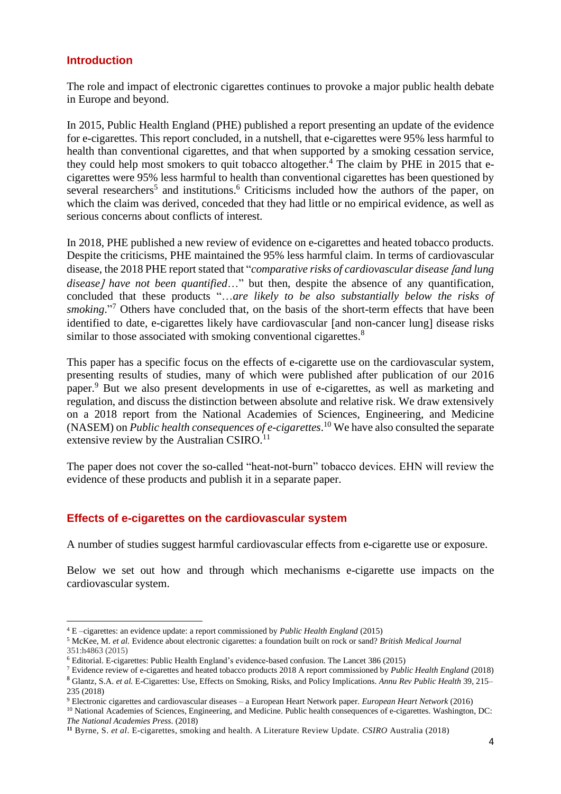# **Introduction**

The role and impact of electronic cigarettes continues to provoke a major public health debate in Europe and beyond.

In 2015, Public Health England (PHE) published a report presenting an update of the evidence for e-cigarettes. This report concluded, in a nutshell, that e-cigarettes were 95% less harmful to health than conventional cigarettes, and that when supported by a smoking cessation service, they could help most smokers to quit tobacco altogether.<sup>4</sup> The claim by PHE in 2015 that ecigarettes were 95% less harmful to health than conventional cigarettes has been questioned by several researchers<sup>5</sup> and institutions.<sup>6</sup> Criticisms included how the authors of the paper, on which the claim was derived, conceded that they had little or no empirical evidence, as well as serious concerns about conflicts of interest.

In 2018, PHE published a new review of evidence on e-cigarettes and heated tobacco products. Despite the criticisms, PHE maintained the 95% less harmful claim. In terms of cardiovascular disease, the 2018 PHE report stated that "*comparative risks of cardiovascular disease and lung disease have not been quantified*…" but then, despite the absence of any quantification, concluded that these products "…*are likely to be also substantially below the risks of*  smoking."<sup>7</sup> Others have concluded that, on the basis of the short-term effects that have been identified to date, e-cigarettes likely have cardiovascular [and non-cancer lung] disease risks similar to those associated with smoking conventional cigarettes.<sup>8</sup>

This paper has a specific focus on the effects of e-cigarette use on the cardiovascular system, presenting results of studies, many of which were published after publication of our 2016 paper. <sup>9</sup> But we also present developments in use of e-cigarettes, as well as marketing and regulation, and discuss the distinction between absolute and relative risk. We draw extensively on a 2018 report from the National Academies of Sciences, Engineering, and Medicine (NASEM) on *Public health consequences of e-cigarettes*. <sup>10</sup> We have also consulted the separate extensive review by the Australian CSIRO.<sup>11</sup>

The paper does not cover the so-called "heat-not-burn" tobacco devices. EHN will review the evidence of these products and publish it in a separate paper.

# **Effects of e-cigarettes on the cardiovascular system**

A number of studies suggest harmful cardiovascular effects from e-cigarette use or exposure.

Below we set out how and through which mechanisms e-cigarette use impacts on the cardiovascular system.

<sup>4</sup> E –cigarettes: an evidence update: a report commissioned by *Public Health England* (2015)

<sup>5</sup> McKee, M. *et al.* Evidence about electronic cigarettes: a foundation built on rock or sand? *British Medical Journal* 351:h4863 (2015)

<sup>6</sup> Editorial. E-cigarettes: Public Health England's evidence-based confusion. The Lancet 386 (2015)

<sup>7</sup> Evidence review of e-cigarettes and heated tobacco products 2018 A report commissioned by *Public Health England* (2018) <sup>8</sup> Glantz, S.A. *et al.* E-Cigarettes: Use, Effects on Smoking, Risks, and Policy Implications. *Annu Rev Public Health* 39, 215– 235 (2018)

<sup>9</sup> Electronic cigarettes and cardiovascular diseases – a European Heart Network paper. *European Heart Network* (2016)

<sup>&</sup>lt;sup>10</sup> National Academies of Sciences, Engineering, and Medicine. Public health consequences of e-cigarettes. Washington, DC: *The National Academies Press*. (2018)

**<sup>11</sup>** Byrne, S. *et al*. E-cigarettes, smoking and health. A Literature Review Update. *CSIRO* Australia (2018)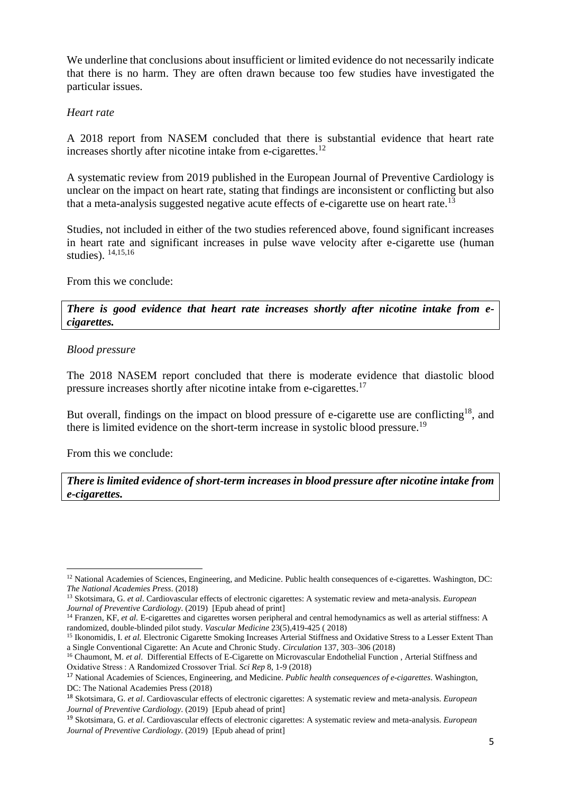We underline that conclusions about insufficient or limited evidence do not necessarily indicate that there is no harm. They are often drawn because too few studies have investigated the particular issues.

### *Heart rate*

A 2018 report from NASEM concluded that there is substantial evidence that heart rate increases shortly after nicotine intake from e-cigarettes. $^{12}$ 

A systematic review from 2019 published in the European Journal of Preventive Cardiology is unclear on the impact on heart rate, stating that findings are inconsistent or conflicting but also that a meta-analysis suggested negative acute effects of e-cigarette use on heart rate.<sup>13</sup>

Studies, not included in either of the two studies referenced above, found significant increases in heart rate and significant increases in pulse wave velocity after e-cigarette use (human studies). 14,15,16

From this we conclude:

*There is good evidence that heart rate increases shortly after nicotine intake from ecigarettes.*

### *Blood pressure*

The 2018 NASEM report concluded that there is moderate evidence that diastolic blood pressure increases shortly after nicotine intake from e-cigarettes.<sup>17</sup>

But overall, findings on the impact on blood pressure of e-cigarette use are conflicting<sup>18</sup>, and there is limited evidence on the short-term increase in systolic blood pressure.<sup>19</sup>

From this we conclude:

*There is limited evidence of short-term increases in blood pressure after nicotine intake from e-cigarettes.*

<sup>12</sup> National Academies of Sciences, Engineering, and Medicine. Public health consequences of e-cigarettes. Washington, DC: *The National Academies Press*. (2018)

<sup>13</sup> Skotsimara, G. *et al*. Cardiovascular effects of electronic cigarettes: A systematic review and meta-analysis. *European Journal of Preventive Cardiology*. (2019) [Epub ahead of print]

<sup>&</sup>lt;sup>14</sup> Franzen, KF, *et al.* E-cigarettes and cigarettes worsen peripheral and central hemodynamics as well as arterial stiffness: A randomized, double-blinded pilot study. *Vascular Medicine* 23(5),419-425 ( 2018)

<sup>&</sup>lt;sup>15</sup> Ikonomidis, I. *et al.* Electronic Cigarette Smoking Increases Arterial Stiffness and Oxidative Stress to a Lesser Extent Than a Single Conventional Cigarette: An Acute and Chronic Study. *Circulation* 137, 303–306 (2018)

<sup>&</sup>lt;sup>16</sup> Chaumont, M. *et al.* Differential Effects of E-Cigarette on Microvascular Endothelial Function, Arterial Stiffness and Oxidative Stress : A Randomized Crossover Trial. *Sci Rep* 8, 1-9 (2018)

<sup>17</sup> National Academies of Sciences, Engineering, and Medicine. *Public health consequences of e-cigarettes*. Washington, DC: The National Academies Press (2018)

<sup>18</sup> Skotsimara, G. *et al*. Cardiovascular effects of electronic cigarettes: A systematic review and meta-analysis. *European Journal of Preventive Cardiology*. (2019) [Epub ahead of print]

<sup>19</sup> Skotsimara, G. *et al*. Cardiovascular effects of electronic cigarettes: A systematic review and meta-analysis. *European Journal of Preventive Cardiology*. (2019) [Epub ahead of print]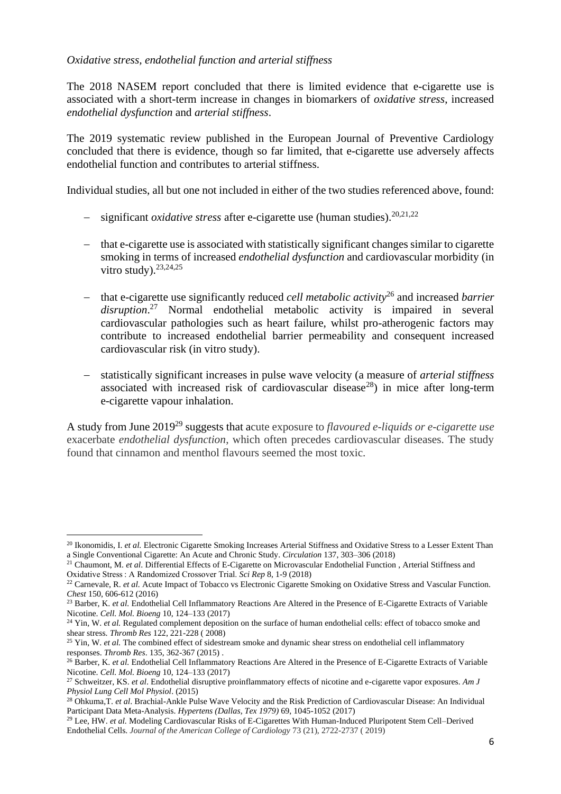### *Oxidative stress, endothelial function and arterial stiffness*

The 2018 NASEM report concluded that there is limited evidence that e-cigarette use is associated with a short-term increase in changes in biomarkers of *oxidative stress*, increased *endothelial dysfunction* and *arterial stiffness*.

The 2019 systematic review published in the European Journal of Preventive Cardiology concluded that there is evidence, though so far limited, that e-cigarette use adversely affects endothelial function and contributes to arterial stiffness.

Individual studies, all but one not included in either of the two studies referenced above, found:

- − significant *oxidative stress* after e-cigarette use (human studies). 20,21,22
- − that e-cigarette use is associated with statistically significant changes similar to cigarette smoking in terms of increased *endothelial dysfunction* and cardiovascular morbidity (in vitro study).  $23,24,25$
- − that e-cigarette use significantly reduced *cell metabolic activity*<sup>26</sup> and increased *barrier disruption*. <sup>27</sup> Normal endothelial metabolic activity is impaired in several cardiovascular pathologies such as heart failure, whilst pro-atherogenic factors may contribute to increased endothelial barrier permeability and consequent increased cardiovascular risk (in vitro study).
- − statistically significant increases in pulse wave velocity (a measure of *arterial stiffness* associated with increased risk of cardiovascular disease<sup>28</sup>) in mice after long-term e-cigarette vapour inhalation.

A study from June 2019<sup>29</sup> suggests that acute exposure to *flavoured e-liquids or e-cigarette use* exacerbate *endothelial dysfunction*, which often precedes cardiovascular diseases. The study found that cinnamon and menthol flavours seemed the most toxic.

<sup>&</sup>lt;sup>20</sup> Ikonomidis, I. *et al.* Electronic Cigarette Smoking Increases Arterial Stiffness and Oxidative Stress to a Lesser Extent Than a Single Conventional Cigarette: An Acute and Chronic Study. *Circulation* 137, 303–306 (2018)

<sup>21</sup> Chaumont, M. *et al*. Differential Effects of E-Cigarette on Microvascular Endothelial Function , Arterial Stiffness and Oxidative Stress : A Randomized Crossover Trial. *Sci Rep* 8, 1-9 (2018)

<sup>&</sup>lt;sup>22</sup> Carnevale, R. *et al.* Acute Impact of Tobacco vs Electronic Cigarette Smoking on Oxidative Stress and Vascular Function. *Chest* 150, 606-612 (2016)

<sup>&</sup>lt;sup>23</sup> Barber, K. *et al.* Endothelial Cell Inflammatory Reactions Are Altered in the Presence of E-Cigarette Extracts of Variable Nicotine. *Cell. Mol. Bioeng* 10, 124–133 (2017)

<sup>&</sup>lt;sup>24</sup> Yin, W. et al. Regulated complement deposition on the surface of human endothelial cells: effect of tobacco smoke and shear stress. *Thromb Res* 122, 221-228 ( 2008)

<sup>&</sup>lt;sup>25</sup> Yin, W. *et al.* The combined effect of sidestream smoke and dynamic shear stress on endothelial cell inflammatory responses. *Thromb Res*. 135, 362-367 (2015) .

<sup>26</sup> Barber, K. *et al.* Endothelial Cell Inflammatory Reactions Are Altered in the Presence of E-Cigarette Extracts of Variable Nicotine. *Cell. Mol. Bioeng* 10, 124–133 (2017)

<sup>27</sup> Schweitzer, KS. *et al*. Endothelial disruptive proinflammatory effects of nicotine and e-cigarette vapor exposures. *Am J Physiol Lung Cell Mol Physiol*. (2015)

<sup>28</sup> Ohkuma,T. *et al*. Brachial-Ankle Pulse Wave Velocity and the Risk Prediction of Cardiovascular Disease: An Individual Participant Data Meta-Analysis. *Hypertens (Dallas, Tex 1979)* 69, 1045-1052 (2017)

<sup>&</sup>lt;sup>29</sup> Lee, HW. *et al.* Modeling Cardiovascular Risks of E-Cigarettes With Human-Induced Pluripotent Stem Cell–Derived Endothelial Cells. *Journal of the American College of Cardiology* 73 (21), 2722-2737 ( 2019)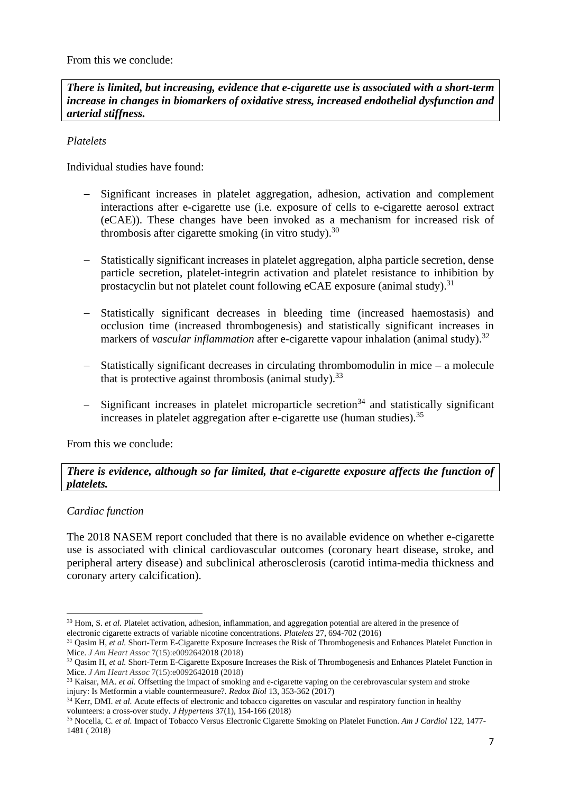From this we conclude:

*There is limited, but increasing, evidence that e-cigarette use is associated with a short-term increase in changes in biomarkers of oxidative stress, increased endothelial dysfunction and arterial stiffness.*

# *Platelets*

Individual studies have found:

- − Significant increases in platelet aggregation, adhesion, activation and complement interactions after e-cigarette use (i.e. exposure of cells to e-cigarette aerosol extract (eCAE)). These changes have been invoked as a mechanism for increased risk of thrombosis after cigarette smoking (in vitro study).<sup>30</sup>
- − Statistically significant increases in platelet aggregation, alpha particle secretion, dense particle secretion, platelet-integrin activation and platelet resistance to inhibition by prostacyclin but not platelet count following eCAE exposure (animal study).<sup>31</sup>
- − Statistically significant decreases in bleeding time (increased haemostasis) and occlusion time (increased thrombogenesis) and statistically significant increases in markers of *vascular inflammation* after e-cigarette vapour inhalation (animal study). 32
- − Statistically significant decreases in circulating thrombomodulin in mice a molecule that is protective against thrombosis (animal study).<sup>33</sup>
- − Significant increases in platelet microparticle secretion<sup>34</sup> and statistically significant increases in platelet aggregation after e-cigarette use (human studies).  $35$

From this we conclude:

# *There is evidence, although so far limited, that e-cigarette exposure affects the function of platelets.*

# *Cardiac function*

The 2018 NASEM report concluded that there is no available evidence on whether e-cigarette use is associated with clinical cardiovascular outcomes (coronary heart disease, stroke, and peripheral artery disease) and subclinical atherosclerosis (carotid intima-media thickness and coronary artery calcification).

<sup>&</sup>lt;sup>30</sup> Hom, S. *et al*. Platelet activation, adhesion, inflammation, and aggregation potential are altered in the presence of electronic cigarette extracts of variable nicotine concentrations. *Platelets* 27, 694-702 (2016)

<sup>&</sup>lt;sup>31</sup> Qasim H, *et al.* Short-Term E-Cigarette Exposure Increases the Risk of Thrombogenesis and Enhances Platelet Function in Mice. *J Am Heart Assoc* 7(15):e0092642018 (2018)

<sup>&</sup>lt;sup>32</sup> Qasim H, *et al.* Short-Term E-Cigarette Exposure Increases the Risk of Thrombogenesis and Enhances Platelet Function in Mice. *J Am Heart Assoc* 7(15):e0092642018 (2018)

<sup>&</sup>lt;sup>33</sup> Kaisar, MA. *et al.* Offsetting the impact of smoking and e-cigarette vaping on the cerebrovascular system and stroke injury: Is Metformin a viable countermeasure?. *Redox Biol* 13, 353-362 (2017)

<sup>&</sup>lt;sup>34</sup> Kerr, DMI. *et al.* Acute effects of electronic and tobacco cigarettes on vascular and respiratory function in healthy volunteers: a cross-over study. *J Hypertens* 37(1), 154-166 (2018)

<sup>35</sup> Nocella, C. *et al.* Impact of Tobacco Versus Electronic Cigarette Smoking on Platelet Function. *Am J Cardiol* 122, 1477- 1481 ( 2018)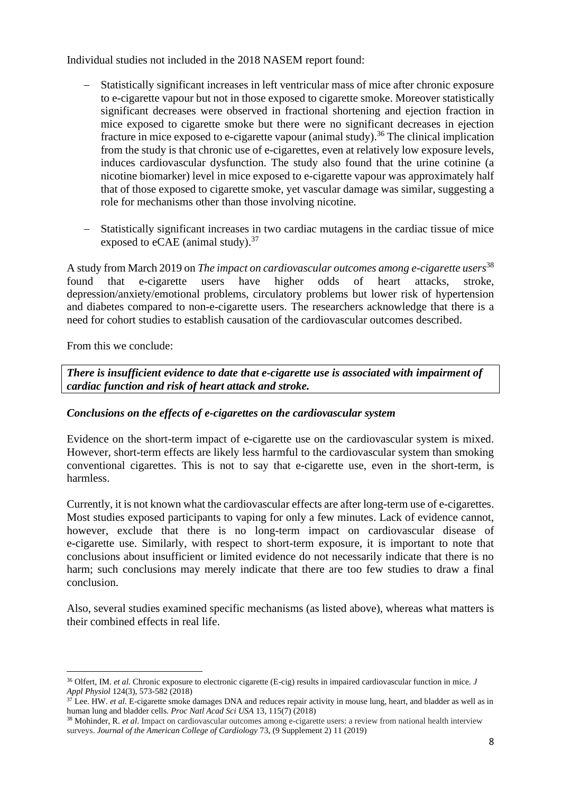Individual studies not included in the 2018 NASEM report found:

- Statistically significant increases in left ventricular mass of mice after chronic exposure to e-cigarette vapour but not in those exposed to cigarette smoke. Moreover statistically significant decreases were observed in fractional shortening and ejection fraction in mice exposed to cigarette smoke but there were no significant decreases in ejection fracture in mice exposed to e-cigarette vapour (animal study).<sup>36</sup> The clinical implication from the study is that chronic use of e-cigarettes, even at relatively low exposure levels, induces cardiovascular dysfunction. The study also found that the urine cotinine (a nicotine biomarker) level in mice exposed to e-cigarette vapour was approximately half that of those exposed to cigarette smoke, yet vascular damage was similar, suggesting a role for mechanisms other than those involving nicotine.
- − Statistically significant increases in two cardiac mutagens in the cardiac tissue of mice exposed to eCAE (animal study). $37$

A study from March 2019 on *The impact on cardiovascular outcomes among e-cigarette users*<sup>38</sup> found that e-cigarette users have higher odds of heart attacks, stroke, depression/anxiety/emotional problems, circulatory problems but lower risk of hypertension and diabetes compared to non-e-cigarette users. The researchers acknowledge that there is a need for cohort studies to establish causation of the cardiovascular outcomes described.

From this we conclude:

*There is insufficient evidence to date that e-cigarette use is associated with impairment of cardiac function and risk of heart attack and stroke.*

# *Conclusions on the effects of e-cigarettes on the cardiovascular system*

Evidence on the short-term impact of e-cigarette use on the cardiovascular system is mixed. However, short-term effects are likely less harmful to the cardiovascular system than smoking conventional cigarettes. This is not to say that e-cigarette use, even in the short-term, is harmless.

Currently, it is not known what the cardiovascular effects are after long-term use of e-cigarettes. Most studies exposed participants to vaping for only a few minutes. Lack of evidence cannot, however, exclude that there is no long-term impact on cardiovascular disease of e-cigarette use. Similarly, with respect to short-term exposure, it is important to note that conclusions about insufficient or limited evidence do not necessarily indicate that there is no harm; such conclusions may merely indicate that there are too few studies to draw a final conclusion.

Also, several studies examined specific mechanisms (as listed above), whereas what matters is their combined effects in real life.

<sup>36</sup> Olfert, IM. *et al.* Chronic exposure to electronic cigarette (E-cig) results in impaired cardiovascular function in mice. *J Appl Physiol* 124(3), 573-582 (2018)

<sup>&</sup>lt;sup>37</sup> Lee. HW. *et al.* E-cigarette smoke damages DNA and reduces repair activity in mouse lung, heart, and bladder as well as in human lung and bladder cells. *Proc Natl Acad Sci USA* 13, 115(7) (2018)

<sup>38</sup> Mohinder, R. *et al*. Impact on cardiovascular outcomes among e-cigarette users: a review from national health interview surveys. *Journal of the American College of Cardiology* 73, (9 Supplement 2) 11 (2019)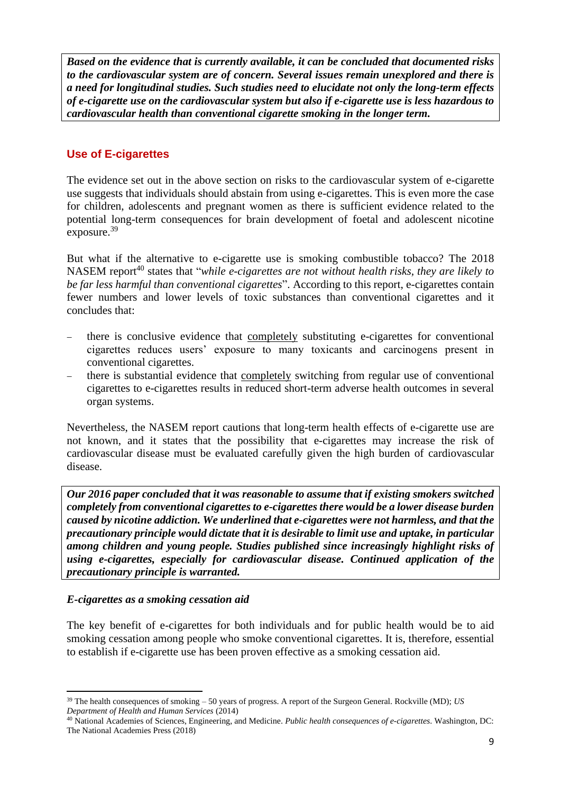*Based on the evidence that is currently available, it can be concluded that documented risks to the cardiovascular system are of concern. Several issues remain unexplored and there is a need for longitudinal studies. Such studies need to elucidate not only the long-term effects of e-cigarette use on the cardiovascular system but also if e-cigarette use is less hazardous to cardiovascular health than conventional cigarette smoking in the longer term.*

# **Use of E-cigarettes**

The evidence set out in the above section on risks to the cardiovascular system of e-cigarette use suggests that individuals should abstain from using e-cigarettes. This is even more the case for children, adolescents and pregnant women as there is sufficient evidence related to the potential long-term consequences for brain development of foetal and adolescent nicotine exposure.<sup>39</sup>

But what if the alternative to e-cigarette use is smoking combustible tobacco? The 2018 NASEM report<sup>40</sup> states that "*while e-cigarettes are not without health risks, they are likely to be far less harmful than conventional cigarettes*". According to this report, e-cigarettes contain fewer numbers and lower levels of toxic substances than conventional cigarettes and it concludes that:

- there is conclusive evidence that completely substituting e-cigarettes for conventional cigarettes reduces users' exposure to many toxicants and carcinogens present in conventional cigarettes.
- there is substantial evidence that completely switching from regular use of conventional cigarettes to e-cigarettes results in reduced short-term adverse health outcomes in several organ systems.

Nevertheless, the NASEM report cautions that long-term health effects of e-cigarette use are not known, and it states that the possibility that e-cigarettes may increase the risk of cardiovascular disease must be evaluated carefully given the high burden of cardiovascular disease.

*Our 2016 paper concluded that it was reasonable to assume that if existing smokers switched completely from conventional cigarettes to e-cigarettes there would be a lower disease burden caused by nicotine addiction. We underlined that e-cigarettes were not harmless, and that the precautionary principle would dictate that it is desirable to limit use and uptake, in particular among children and young people. Studies published since increasingly highlight risks of using e-cigarettes, especially for cardiovascular disease. Continued application of the precautionary principle is warranted.*

# *E-cigarettes as a smoking cessation aid*

The key benefit of e-cigarettes for both individuals and for public health would be to aid smoking cessation among people who smoke conventional cigarettes. It is, therefore, essential to establish if e-cigarette use has been proven effective as a smoking cessation aid.

<sup>39</sup> The health consequences of smoking – 50 years of progress. A report of the Surgeon General. Rockville (MD); *US Department of Health and Human Services* (2014)

<sup>40</sup> National Academies of Sciences, Engineering, and Medicine. *Public health consequences of e-cigarettes*. Washington, DC: The National Academies Press (2018)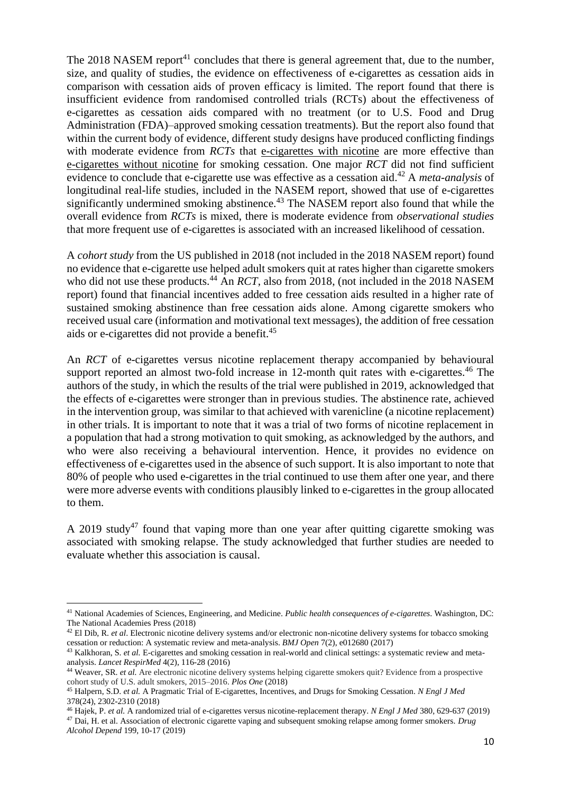The 2018 NASEM report<sup>41</sup> concludes that there is general agreement that, due to the number, size, and quality of studies, the evidence on effectiveness of e-cigarettes as cessation aids in comparison with cessation aids of proven efficacy is limited. The report found that there is insufficient evidence from randomised controlled trials (RCTs) about the effectiveness of e-cigarettes as cessation aids compared with no treatment (or to U.S. Food and Drug Administration (FDA)–approved smoking cessation treatments). But the report also found that within the current body of evidence, different study designs have produced conflicting findings with moderate evidence from *RCTs* that e-cigarettes with nicotine are more effective than e-cigarettes without nicotine for smoking cessation. One major *RCT* did not find sufficient evidence to conclude that e-cigarette use was effective as a cessation aid. <sup>42</sup> A *meta-analysis* of longitudinal real-life studies, included in the NASEM report, showed that use of e-cigarettes significantly undermined smoking abstinence.<sup>43</sup> The NASEM report also found that while the overall evidence from *RCTs* is mixed, there is moderate evidence from *observational studies* that more frequent use of e-cigarettes is associated with an increased likelihood of cessation.

A *cohort study* from the US published in 2018 (not included in the 2018 NASEM report) found no evidence that e-cigarette use helped adult smokers quit at rates higher than cigarette smokers who did not use these products.<sup>44</sup> An *RCT*, also from 2018, (not included in the 2018 NASEM report) found that financial incentives added to free cessation aids resulted in a higher rate of sustained smoking abstinence than free cessation aids alone. Among cigarette smokers who received usual care (information and motivational text messages), the addition of free cessation aids or e-cigarettes did not provide a benefit.<sup>45</sup>

An *RCT* of e-cigarettes versus nicotine replacement therapy accompanied by behavioural support reported an almost two-fold increase in 12-month quit rates with e-cigarettes.<sup>46</sup> The authors of the study, in which the results of the trial were published in 2019, acknowledged that the effects of e-cigarettes were stronger than in previous studies. The abstinence rate, achieved in the intervention group, was similar to that achieved with varenicline (a nicotine replacement) in other trials. It is important to note that it was a trial of two forms of nicotine replacement in a population that had a strong motivation to quit smoking, as acknowledged by the authors, and who were also receiving a behavioural intervention. Hence, it provides no evidence on effectiveness of e-cigarettes used in the absence of such support. It is also important to note that 80% of people who used e-cigarettes in the trial continued to use them after one year, and there were more adverse events with conditions plausibly linked to e-cigarettes in the group allocated to them.

A 2019 study<sup>47</sup> found that vaping more than one year after quitting cigarette smoking was associated with smoking relapse. The study acknowledged that further studies are needed to evaluate whether this association is causal.

<sup>41</sup> National Academies of Sciences, Engineering, and Medicine. *Public health consequences of e-cigarettes*. Washington, DC: The National Academies Press (2018)

<sup>42</sup> El Dib, R. *et al*. Electronic nicotine delivery systems and/or electronic non-nicotine delivery systems for tobacco smoking cessation or reduction: A systematic review and meta-analysis. *BMJ Open* 7(2), e012680 (2017)

<sup>&</sup>lt;sup>43</sup> Kalkhoran, S. et al. E-cigarettes and smoking cessation in real-world and clinical settings: a systematic review and metaanalysis. *Lancet RespirMed* 4(2), 116-28 (2016)

<sup>44</sup> Weaver, SR. *et al.* Are electronic nicotine delivery systems helping cigarette smokers quit? Evidence from a prospective cohort study of U.S. adult smokers, 2015–2016. *Plos One* (2018)

<sup>45</sup> Halpern, S.D. *et al.* A Pragmatic Trial of E-cigarettes, Incentives, and Drugs for Smoking Cessation. *N Engl J Med*  378(24), 2302-2310 (2018)

<sup>46</sup> Hajek, P. *et al.* A randomized trial of e-cigarettes versus nicotine-replacement therapy. *N Engl J Med* 380, 629-637 (2019) <sup>47</sup> Dai, H. et al. Association of electronic cigarette vaping and subsequent smoking relapse among former smokers. *Drug*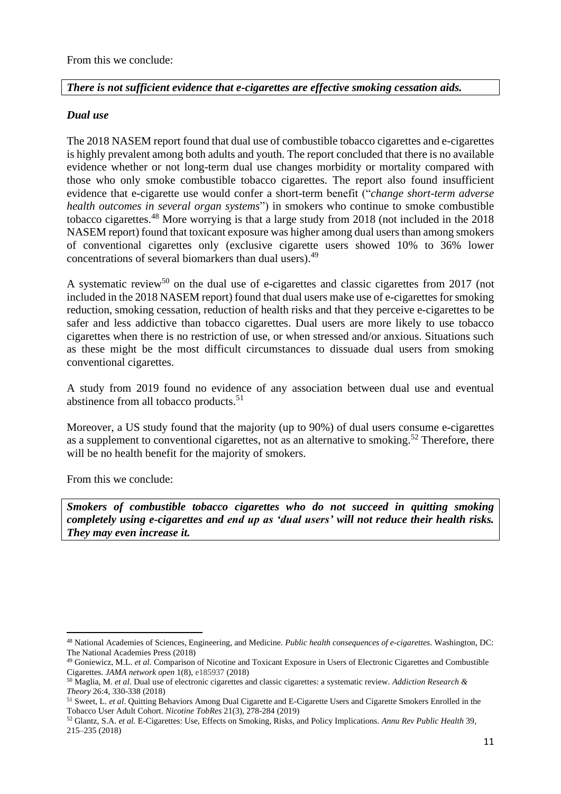# *There is not sufficient evidence that e-cigarettes are effective smoking cessation aids.*

# *Dual use*

The 2018 NASEM report found that dual use of combustible tobacco cigarettes and e-cigarettes is highly prevalent among both adults and youth. The report concluded that there is no available evidence whether or not long-term dual use changes morbidity or mortality compared with those who only smoke combustible tobacco cigarettes. The report also found insufficient evidence that e-cigarette use would confer a short-term benefit ("*change short-term adverse health outcomes in several organ systems*") in smokers who continue to smoke combustible tobacco cigarettes.<sup>48</sup> More worrying is that a large study from 2018 (not included in the 2018 NASEM report) found that toxicant exposure was higher among dual users than among smokers of conventional cigarettes only (exclusive cigarette users showed 10% to 36% lower concentrations of several biomarkers than dual users).<sup>49</sup>

A systematic review<sup>50</sup> on the dual use of e-cigarettes and classic cigarettes from 2017 (not included in the 2018 NASEM report) found that dual users make use of e-cigarettes for smoking reduction, smoking cessation, reduction of health risks and that they perceive e-cigarettes to be safer and less addictive than tobacco cigarettes. Dual users are more likely to use tobacco cigarettes when there is no restriction of use, or when stressed and/or anxious. Situations such as these might be the most difficult circumstances to dissuade dual users from smoking conventional cigarettes.

A study from 2019 found no evidence of any association between dual use and eventual abstinence from all tobacco products.<sup>51</sup>

Moreover, a US study found that the majority (up to 90%) of dual users consume e-cigarettes as a supplement to conventional cigarettes, not as an alternative to smoking.<sup>52</sup> Therefore, there will be no health benefit for the majority of smokers.

From this we conclude:

*Smokers of combustible tobacco cigarettes who do not succeed in quitting smoking completely using e-cigarettes and end up as 'dual users' will not reduce their health risks. They may even increase it.*

<sup>48</sup> National Academies of Sciences, Engineering, and Medicine. *Public health consequences of e-cigarettes*. Washington, DC: The National Academies Press (2018)

<sup>49</sup> Goniewicz, M.L. *et al.* Comparison of Nicotine and Toxicant Exposure in Users of Electronic Cigarettes and Combustible Cigarettes. *JAMA network open* 1(8), e185937 (2018)

<sup>50</sup> Maglia, M. *et al.* Dual use of electronic cigarettes and classic cigarettes: a systematic review. *Addiction Research & Theory* 26:4, 330-338 (2018)

<sup>51</sup> Sweet, L. *et al*. Quitting Behaviors Among Dual Cigarette and E-Cigarette Users and Cigarette Smokers Enrolled in the Tobacco User Adult Cohort. *Nicotine TobRes* 21(3), 278-284 (2019)

<sup>52</sup> Glantz, S.A. *et al.* E-Cigarettes: Use, Effects on Smoking, Risks, and Policy Implications. *Annu Rev Public Health* 39, 215–235 (2018)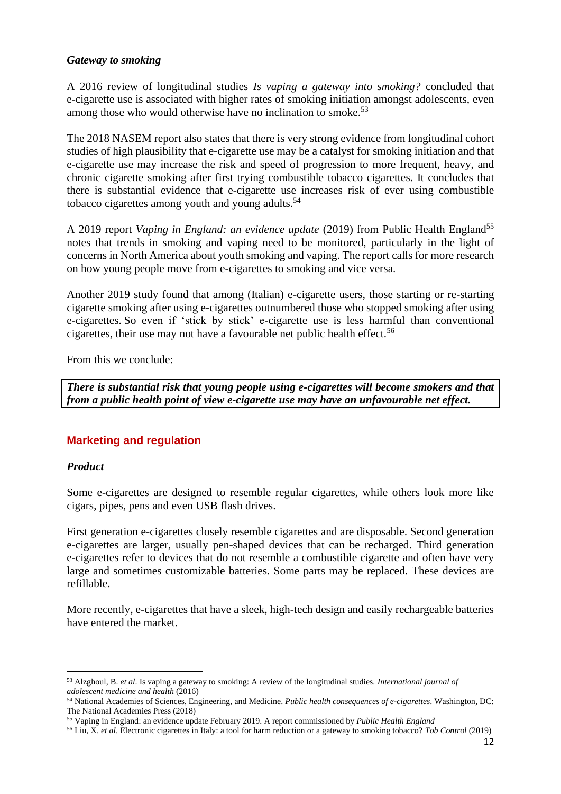### *Gateway to smoking*

A 2016 review of longitudinal studies *Is vaping a gateway into smoking?* concluded that e-cigarette use is associated with higher rates of smoking initiation amongst adolescents, even among those who would otherwise have no inclination to smoke.<sup>53</sup>

The 2018 NASEM report also states that there is very strong evidence from longitudinal cohort studies of high plausibility that e-cigarette use may be a catalyst for smoking initiation and that e-cigarette use may increase the risk and speed of progression to more frequent, heavy, and chronic cigarette smoking after first trying combustible tobacco cigarettes. It concludes that there is substantial evidence that e-cigarette use increases risk of ever using combustible tobacco cigarettes among youth and young adults.<sup>54</sup>

A 2019 report *Vaping in England: an evidence update* (2019) from Public Health England<sup>55</sup> notes that trends in smoking and vaping need to be monitored, particularly in the light of concerns in North America about youth smoking and vaping. The report calls for more research on how young people move from e-cigarettes to smoking and vice versa.

Another 2019 study found that among (Italian) e-cigarette users, those starting or re-starting cigarette smoking after using e-cigarettes outnumbered those who stopped smoking after using e-cigarettes. So even if 'stick by stick' e-cigarette use is less harmful than conventional cigarettes, their use may not have a favourable net public health effect. 56

From this we conclude:

*There is substantial risk that young people using e-cigarettes will become smokers and that from a public health point of view e-cigarette use may have an unfavourable net effect.*

# **Marketing and regulation**

# *Product*

Some e-cigarettes are designed to resemble regular cigarettes, while others look more like cigars, pipes, pens and even USB flash drives.

First generation e-cigarettes closely resemble cigarettes and are disposable. Second generation e-cigarettes are larger, usually pen-shaped devices that can be recharged. Third generation e-cigarettes refer to devices that do not resemble a combustible cigarette and often have very large and sometimes customizable batteries. Some parts may be replaced. These devices are refillable.

More recently, e-cigarettes that have a sleek, high-tech design and easily rechargeable batteries have entered the market.

<sup>53</sup> Alzghoul, B. *et al*. Is vaping a gateway to smoking: A review of the longitudinal studies. *International journal of adolescent medicine and health* (2016)

<sup>54</sup> National Academies of Sciences, Engineering, and Medicine. *Public health consequences of e-cigarettes*. Washington, DC: The National Academies Press (2018)

<sup>55</sup> Vaping in England: an evidence update February 2019. A report commissioned by *Public Health England*

<sup>56</sup> Liu, X. *et al*. Electronic cigarettes in Italy: a tool for harm reduction or a gateway to smoking tobacco? *Tob Control* (2019)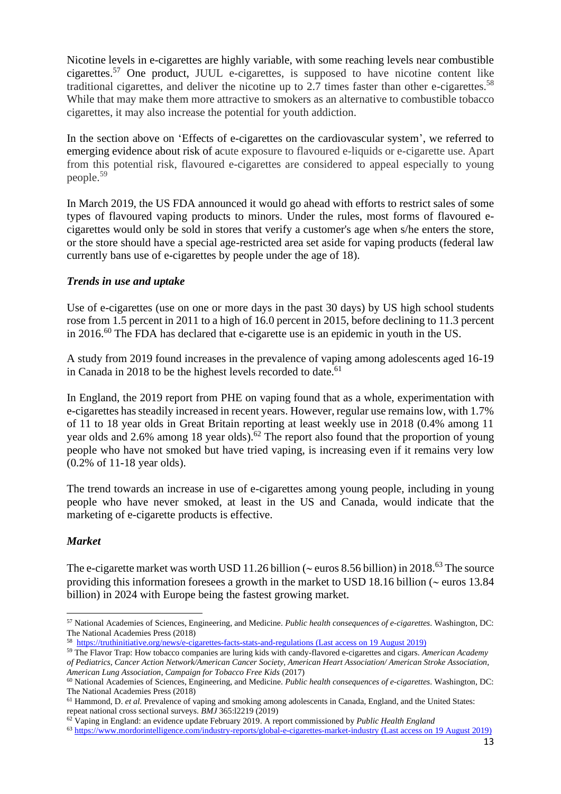Nicotine levels in e-cigarettes are highly variable, with some reaching levels near combustible cigarettes. <sup>57</sup> One product, JUUL e-cigarettes, is supposed to have nicotine content like traditional cigarettes, and deliver the nicotine up to 2.7 times faster than other e-cigarettes.<sup>58</sup> While that may make them more attractive to smokers as an alternative to combustible tobacco cigarettes, it may also increase the potential for youth addiction.

In the section above on 'Effects of e-cigarettes on the cardiovascular system', we referred to emerging evidence about risk of acute exposure to flavoured e-liquids or e-cigarette use. Apart from this potential risk, flavoured e-cigarettes are considered to appeal especially to young people.<sup>59</sup>

In March 2019, the US FDA announced it would go ahead with efforts to restrict sales of some types of flavoured vaping products to minors. Under the rules, most forms of flavoured ecigarettes would only be sold in stores that verify a customer's age when s/he enters the store, or the store should have a special age-restricted area set aside for vaping products (federal law currently bans use of e-cigarettes by people under the age of 18).

### *Trends in use and uptake*

Use of e-cigarettes (use on one or more days in the past 30 days) by US high school students rose from 1.5 percent in 2011 to a high of 16.0 percent in 2015, before declining to 11.3 percent in 2016.<sup>60</sup> The FDA has declared that e-cigarette use is an epidemic in youth in the US.

A study from 2019 found increases in the prevalence of vaping among adolescents aged 16-19 in Canada in 2018 to be the highest levels recorded to date.<sup>61</sup>

In England, the 2019 report from PHE on vaping found that as a whole, experimentation with e-cigarettes has steadily increased in recent years. However, regular use remains low, with 1.7% of 11 to 18 year olds in Great Britain reporting at least weekly use in 2018 (0.4% among 11 year olds and 2.6% among 18 year olds).<sup>62</sup> The report also found that the proportion of young people who have not smoked but have tried vaping, is increasing even if it remains very low (0.2% of 11-18 year olds).

The trend towards an increase in use of e-cigarettes among young people, including in young people who have never smoked, at least in the US and Canada, would indicate that the marketing of e-cigarette products is effective.

### *Market*

The e-cigarette market was worth USD 11.26 billion ( $\sim$  euros 8.56 billion) in 2018.<sup>63</sup> The source providing this information foresees a growth in the market to USD 18.16 billion ( $\sim$  euros 13.84 billion) in 2024 with Europe being the fastest growing market.

<sup>57</sup> National Academies of Sciences, Engineering, and Medicine. *Public health consequences of e-cigarettes*. Washington, DC: The National Academies Press (2018)

<sup>58</sup> <https://truthinitiative.org/news/e-cigarettes-facts-stats-and-regulations> (Last access on 19 August 2019)

<sup>59</sup> The Flavor Trap: How tobacco companies are luring kids with candy-flavored e-cigarettes and cigars. *American Academy of Pediatrics, Cancer Action Network/American Cancer Society, American Heart Association/ American Stroke Association, American Lung Association, Campaign for Tobacco Free Kids* (2017)

<sup>60</sup> National Academies of Sciences, Engineering, and Medicine. *Public health consequences of e-cigarettes*. Washington, DC: The National Academies Press (2018)

<sup>&</sup>lt;sup>61</sup> Hammond, D. *et al.* Prevalence of vaping and smoking among adolescents in Canada, England, and the United States: repeat national cross sectional surveys. *BMJ* 365:l2219 (2019)

<sup>62</sup> Vaping in England: an evidence update February 2019. A report commissioned by *Public Health England*

<sup>63</sup> <https://www.mordorintelligence.com/industry-reports/global-e-cigarettes-market-industry> (Last access on 19 August 2019)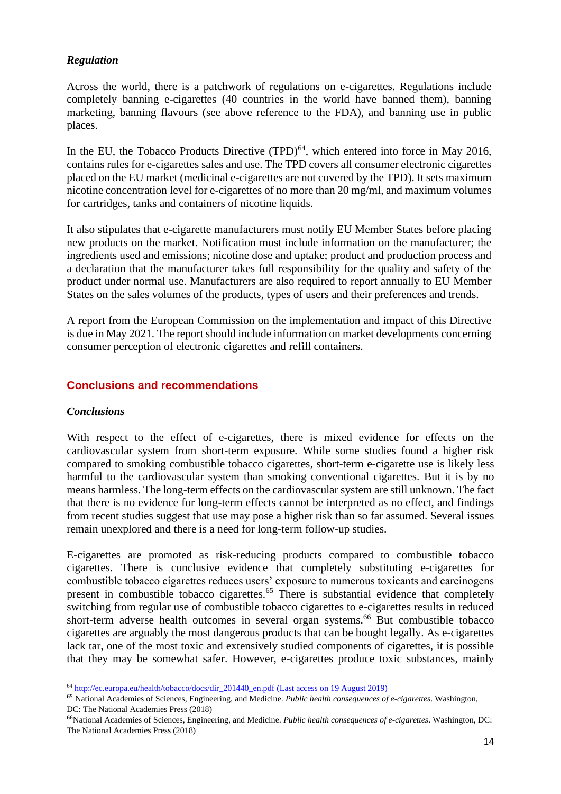# *Regulation*

Across the world, there is a patchwork of regulations on e-cigarettes. Regulations include completely banning e-cigarettes (40 countries in the world have banned them), banning marketing, banning flavours (see above reference to the FDA), and banning use in public places.

In the EU, the Tobacco Products Directive  $(TPD)^{64}$ , which entered into force in May 2016, contains rules for e-cigarettes sales and use. The TPD covers all consumer electronic cigarettes placed on the EU market (medicinal e-cigarettes are not covered by the TPD). It sets maximum nicotine concentration level for e-cigarettes of no more than 20 mg/ml, and maximum volumes for cartridges, tanks and containers of nicotine liquids.

It also stipulates that e-cigarette manufacturers must notify EU Member States before placing new products on the market. Notification must include information on the manufacturer; the ingredients used and emissions; nicotine dose and uptake; product and production process and a declaration that the manufacturer takes full responsibility for the quality and safety of the product under normal use. Manufacturers are also required to report annually to EU Member States on the sales volumes of the products, types of users and their preferences and trends.

A report from the European Commission on the implementation and impact of this Directive is due in May 2021. The report should include information on market developments concerning consumer perception of electronic cigarettes and refill containers.

# **Conclusions and recommendations**

# *Conclusions*

With respect to the effect of e-cigarettes, there is mixed evidence for effects on the cardiovascular system from short-term exposure. While some studies found a higher risk compared to smoking combustible tobacco cigarettes, short-term e-cigarette use is likely less harmful to the cardiovascular system than smoking conventional cigarettes. But it is by no means harmless. The long-term effects on the cardiovascular system are still unknown. The fact that there is no evidence for long-term effects cannot be interpreted as no effect, and findings from recent studies suggest that use may pose a higher risk than so far assumed. Several issues remain unexplored and there is a need for long-term follow-up studies.

E-cigarettes are promoted as risk-reducing products compared to combustible tobacco cigarettes. There is conclusive evidence that completely substituting e-cigarettes for combustible tobacco cigarettes reduces users' exposure to numerous toxicants and carcinogens present in combustible tobacco cigarettes.<sup>65</sup> There is substantial evidence that completely switching from regular use of combustible tobacco cigarettes to e-cigarettes results in reduced short-term adverse health outcomes in several organ systems. <sup>66</sup> But combustible tobacco cigarettes are arguably the most dangerous products that can be bought legally. As e-cigarettes lack tar, one of the most toxic and extensively studied components of cigarettes, it is possible that they may be somewhat safer. However, e-cigarettes produce toxic substances, mainly

<sup>64</sup> [http://ec.europa.eu/health/tobacco/docs/dir\\_201440\\_en.pdf](http://ec.europa.eu/health/tobacco/docs/dir_201440_en.pdf) (Last access on 19 August 2019)

<sup>65</sup> National Academies of Sciences, Engineering, and Medicine. *Public health consequences of e-cigarettes*. Washington, DC: The National Academies Press (2018)

<sup>66</sup>National Academies of Sciences, Engineering, and Medicine. *Public health consequences of e-cigarettes*. Washington, DC: The National Academies Press (2018)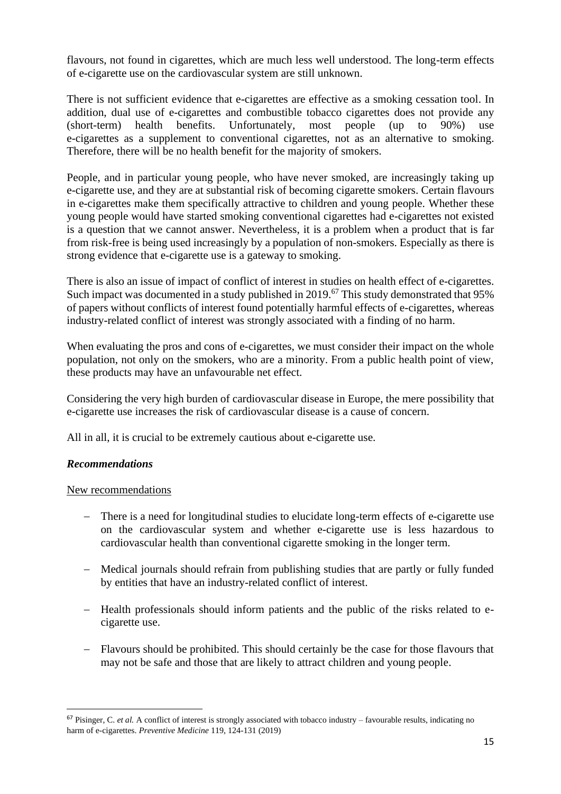flavours, not found in cigarettes, which are much less well understood. The long-term effects of e-cigarette use on the cardiovascular system are still unknown.

There is not sufficient evidence that e-cigarettes are effective as a smoking cessation tool. In addition, dual use of e-cigarettes and combustible tobacco cigarettes does not provide any (short-term) health benefits. Unfortunately, most people (up to 90%) use e-cigarettes as a supplement to conventional cigarettes, not as an alternative to smoking. Therefore, there will be no health benefit for the majority of smokers.

People, and in particular young people, who have never smoked, are increasingly taking up e-cigarette use, and they are at substantial risk of becoming cigarette smokers. Certain flavours in e-cigarettes make them specifically attractive to children and young people. Whether these young people would have started smoking conventional cigarettes had e-cigarettes not existed is a question that we cannot answer. Nevertheless, it is a problem when a product that is far from risk-free is being used increasingly by a population of non-smokers. Especially as there is strong evidence that e-cigarette use is a gateway to smoking.

There is also an issue of impact of conflict of interest in studies on health effect of e-cigarettes. Such impact was documented in a study published in 2019.<sup>67</sup> This study demonstrated that 95% of papers without conflicts of interest found potentially harmful effects of e-cigarettes, whereas industry-related conflict of interest was strongly associated with a finding of no harm.

When evaluating the pros and cons of e-cigarettes, we must consider their impact on the whole population, not only on the smokers, who are a minority. From a public health point of view, these products may have an unfavourable net effect.

Considering the very high burden of cardiovascular disease in Europe, the mere possibility that e-cigarette use increases the risk of cardiovascular disease is a cause of concern.

All in all, it is crucial to be extremely cautious about e-cigarette use.

# *Recommendations*

### New recommendations

- − There is a need for longitudinal studies to elucidate long-term effects of e-cigarette use on the cardiovascular system and whether e-cigarette use is less hazardous to cardiovascular health than conventional cigarette smoking in the longer term.
- − Medical journals should refrain from publishing studies that are partly or fully funded by entities that have an industry-related conflict of interest.
- − Health professionals should inform patients and the public of the risks related to ecigarette use.
- − Flavours should be prohibited. This should certainly be the case for those flavours that may not be safe and those that are likely to attract children and young people.

<sup>&</sup>lt;sup>67</sup> Pisinger, C. *et al.* A conflict of interest is strongly associated with tobacco industry – favourable results, indicating no harm of e-cigarettes. *Preventive Medicine* 119, 124-131 (2019)